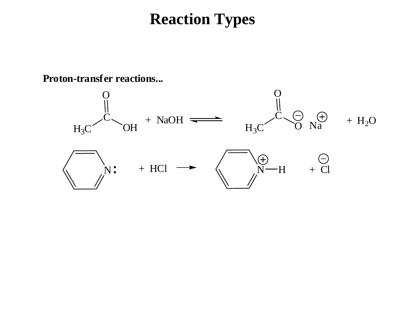**Proton-transfer reactions...**

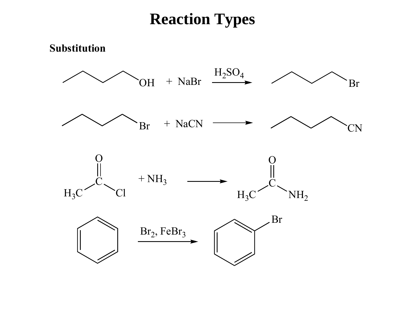#### **Substitution**

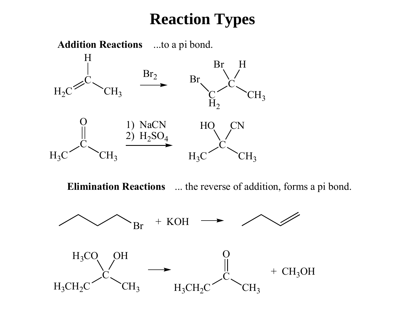

**Elimination Reactions** ... the reverse of addition, forms a pi bond.

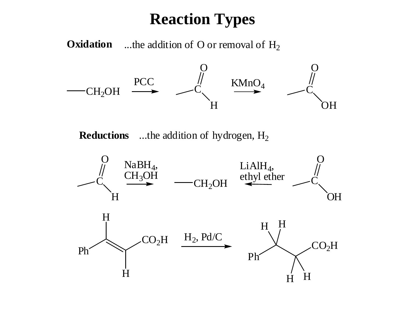**Oxidation** ...the addition of O or removal of  $H_2$ 



**Reductions** ...the addition of hydrogen, H<sub>2</sub>

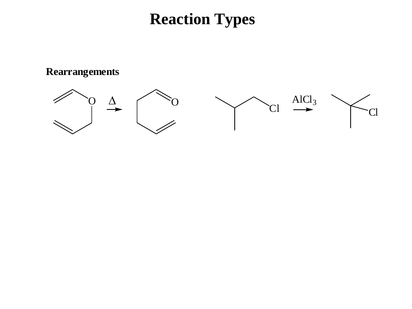**Rearrangements**

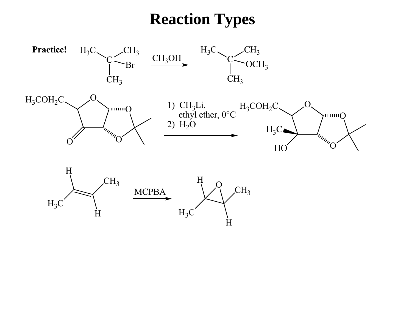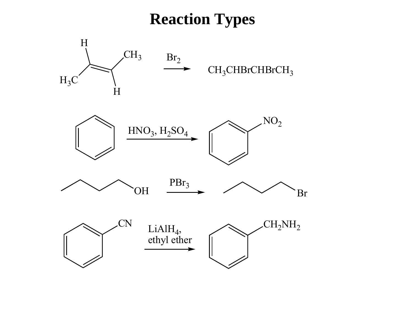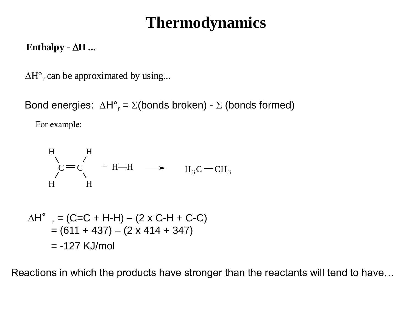#### **Enthalpy** -  $\Delta H$  ...

 $\Delta H^{\circ}$ <sub>r</sub> can be approximated by using...

Bond energies:  $\Delta H^{\circ}$ <sub>r</sub> =  $\Sigma$ (bonds broken) -  $\Sigma$  (bonds formed)

For example:

H  
\n
$$
\sum_{I}^{H} C = C \left( H + H - H \longrightarrow H_3C - CH_3 \right)
$$
\nH

$$
\Delta H^{\circ} = (C=C + H-H) - (2 \times C-H + C-C)
$$
  
= (611 + 437) - (2 \times 414 + 347)  
= -127 KJ/mol

Reactions in which the products have stronger than the reactants will tend to have…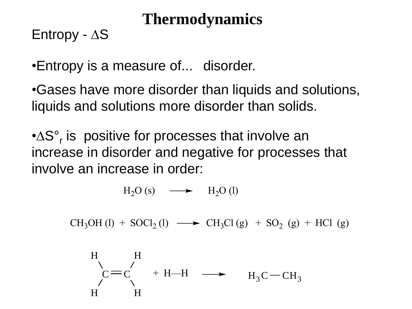Entropy -  $\Delta S$ 

•Entropy is a measure of... disorder.

•Gases have more disorder than liquids and solutions, liquids and solutions more disorder than solids.

•∆S°<sub>r</sub> is positive for processes that involve an increase in disorder and negative for processes that involve an increase in order:

 $H_2O(s) \longrightarrow H_2O(l)$ 

 $CH_3OH (l) + SOCl_2 (l) \longrightarrow CH_3Cl (g) + SO_2 (g) + HCl (g)$ 

H  
\n
$$
\begin{array}{ccc}\nH \\
C = C \\
H\n\end{array} + H - H \longrightarrow H_3C - CH_3
$$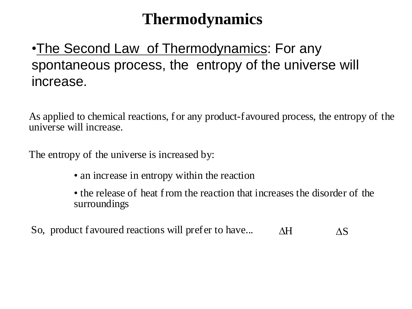#### •The Second Law of Thermodynamics: For any spontaneous process, the entropy of the universe will increase.

As applied to chemical reactions, for any product-favoured process, the entropy of the universe will increase.

The entropy of the universe is increased by:

- an increase in entropy within the reaction
- the release of heat from the reaction that increases the disorder of the surroundings
- So, product favoured reactions will prefer to have...  $\Delta H$   $\Delta S$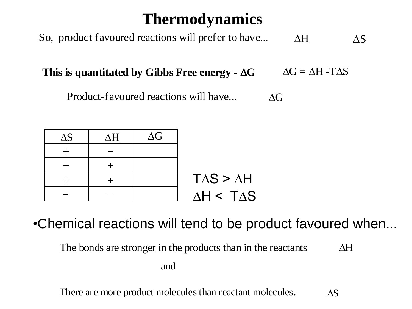So, product favoured reactions will prefer to have...  $\Delta H$   $\Delta S$ 

**This** is quantitated by Gibbs Free energy  $\sim \Delta G$   $\Delta G = \Delta H - T \Delta S$ 

Product-favoured reactions will have...  $\triangle G$ 



•Chemical reactions will tend to be product favoured when...

The bonds are stronger in the products than in the reactants  $\Delta H$ 

and

There are more product molecules than reactant molecules.  $\triangle S$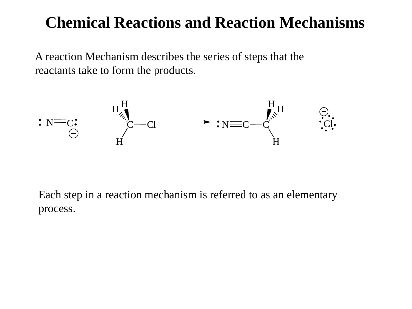A reaction Mechanism describes the series of steps that the reactants take to form the products.



Each step in a reaction mechanism is referred to as an elementary process.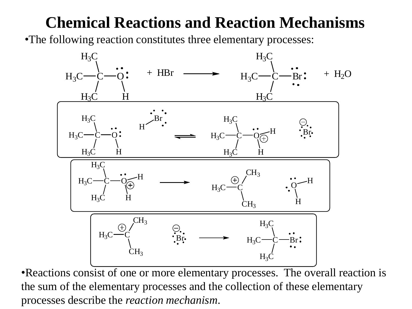•The following reaction constitutes three elementary processes:



•Reactions consist of one or more elementary processes. The overall reaction is the sum of the elementary processes and the collection of these elementary processes describe the *reaction mechanism*.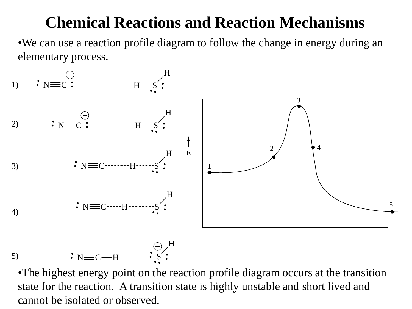•We can use a reaction profile diagram to follow the change in energy during an elementary process.





•The highest energy point on the reaction profile diagram occurs at the transition state for the reaction. A transition state is highly unstable and short lived and cannot be isolated or observed.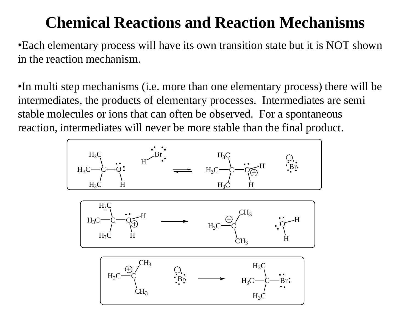•Each elementary process will have its own transition state but it is NOT shown in the reaction mechanism.

•In multi step mechanisms (i.e. more than one elementary process) there will be intermediates, the products of elementary processes. Intermediates are semi stable molecules or ions that can often be observed. For a spontaneous reaction, intermediates will never be more stable than the final product.

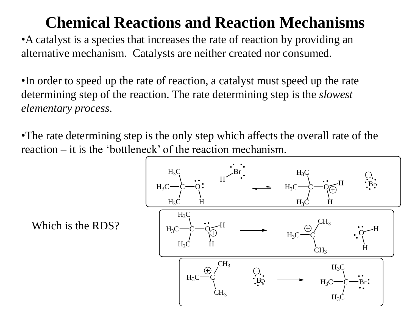•A catalyst is a species that increases the rate of reaction by providing an alternative mechanism. Catalysts are neither created nor consumed.

•In order to speed up the rate of reaction, a catalyst must speed up the rate determining step of the reaction. The rate determining step is the *slowest elementary process*.

•The rate determining step is the only step which affects the overall rate of the reaction – it is the 'bottleneck' of the reaction mechanism.



Which is the RDS?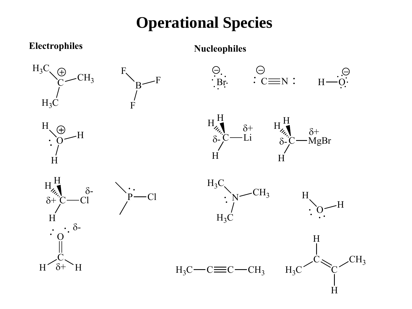## **Operational Species**

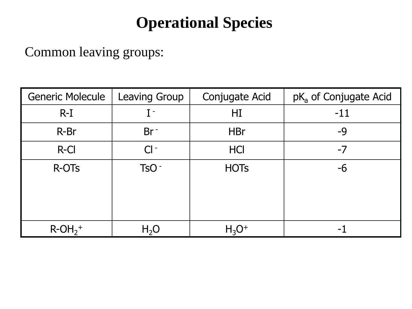## **Operational Species**

Common leaving groups:

| <b>Generic Molecule</b>           | <b>Leaving Group</b> | Conjugate Acid | pK <sub>a</sub> of Conjugate Acid |
|-----------------------------------|----------------------|----------------|-----------------------------------|
| $R-I$                             | $\mathbf I$ -        | HI             | $-11$                             |
| R-Br                              | $Br^-$               | <b>HBr</b>     | -9                                |
| R-Cl                              | $Cl -$               | <b>HCI</b>     | $-7$                              |
| R-OT <sub>s</sub>                 | TsO <sup>-</sup>     | <b>HOTs</b>    | -6                                |
| $R$ -OH <sub>2</sub> <sup>+</sup> | H <sub>2</sub> O     | $H_3O^+$       |                                   |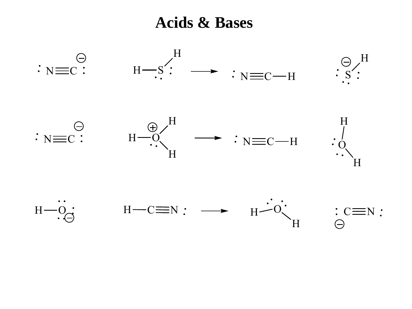**Acids & Bases**

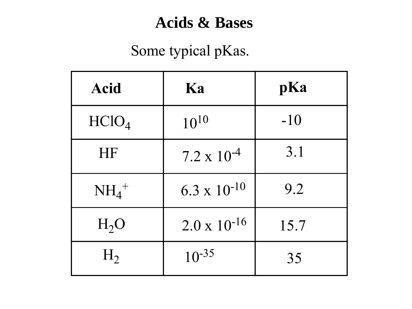## Some typical pKas.

| <b>Acid</b>       | Ka                    | pKa   |
|-------------------|-----------------------|-------|
| HClO <sub>4</sub> | $10^{10}$             | $-10$ |
| HF                | $7.2 \times 10^{-4}$  | 3.1   |
| $NH_4^+$          | $6.3 \times 10^{-10}$ | 9.2   |
| $H_2O$            | $2.0 \times 10^{-16}$ | 15.7  |
| $H_2$             | $10^{-35}$            | 35    |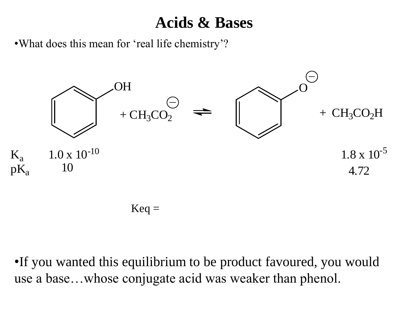•What does this mean for 'real life chemistry'?



•If you wanted this equilibrium to be product favoured, you would use a base…whose conjugate acid was weaker than phenol.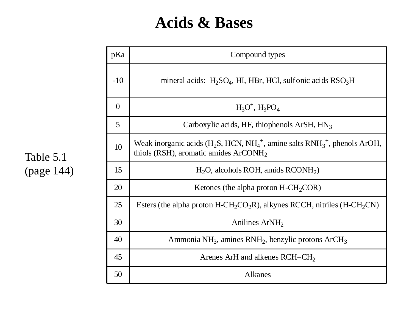| pKa            | Compound types                                                                                                                                                                   |
|----------------|----------------------------------------------------------------------------------------------------------------------------------------------------------------------------------|
| $-10$          | mineral acids: $H_2SO_4$ , HI, HBr, HCl, sulfonic acids $RSO_3H$                                                                                                                 |
| $\overline{0}$ | $H_3O^+$ , $H_3PO_4$                                                                                                                                                             |
| 5              | Carboxylic acids, HF, thiophenols $ArSH$ , HN <sub>3</sub>                                                                                                                       |
| 10             | Weak inorganic acids (H <sub>2</sub> S, HCN, NH <sub>4</sub> <sup>+</sup> , amine salts RNH <sub>3</sub> <sup>+</sup> , phenols ArOH,<br>thiols (RSH), aromatic amides $ArCONH2$ |
| 15             | $H_2O$ , alcohols ROH, amids RCONH <sub>2</sub> )                                                                                                                                |
| 20             | Ketones (the alpha proton $H\text{-}CH_2COR$ )                                                                                                                                   |
| 25             | Esters (the alpha proton H-CH <sub>2</sub> CO <sub>2</sub> R), alkynes RCCH, nitriles (H-CH <sub>2</sub> CN)                                                                     |
| 30             | Anilines ArNH <sub>2</sub>                                                                                                                                                       |
| 40             | Ammonia NH <sub>3</sub> , amines RNH <sub>2</sub> , benzylic protons ArCH <sub>3</sub>                                                                                           |
| 45             | Arenes ArH and alkenes $RCH=CH2$                                                                                                                                                 |
| 50             | Alkanes                                                                                                                                                                          |

Table 5.1 (page 144)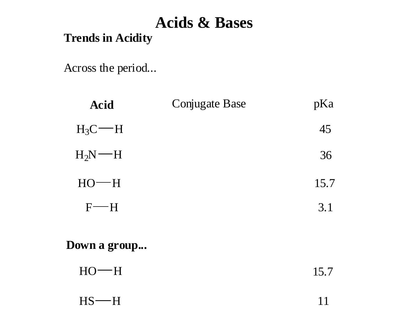#### **Trends in Acidity**

Across the period...

| <b>Acid</b>          | <b>Conjugate Base</b> | pKa  |
|----------------------|-----------------------|------|
| $H_3C$ – H           |                       | 45   |
| $H_2N$ — H           |                       | 36   |
| $HO$ —H              |                       | 15.7 |
| $F \rightarrow H$    |                       | 3.1  |
| <b>Down a group…</b> |                       |      |
| $HO-H$               |                       | 15.7 |

| $HS$ —H |  |
|---------|--|
|         |  |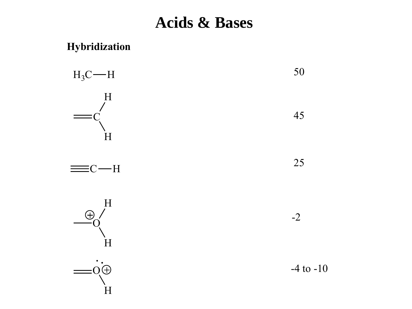#### **Hybridization**

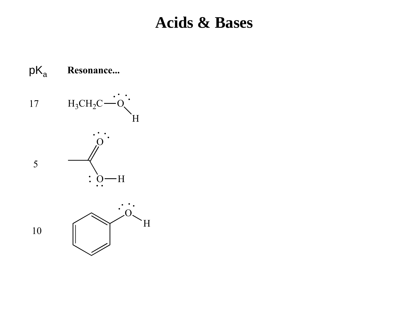$pK_a$ **Resonance...** 17  $H_3CH_2C$ H O 5  $O-H$  $\ddot{\bullet}$ O H 10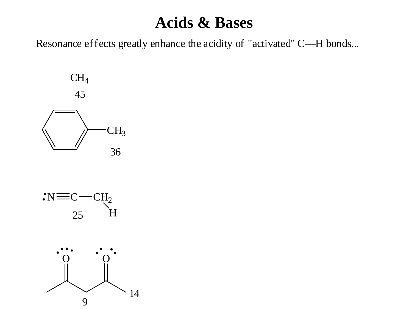Resonance effects greatly enhance the acidity of "activated" C—H bonds...





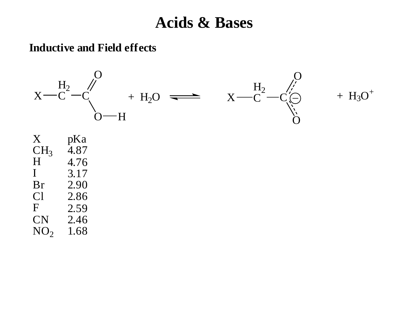#### **Inductive and Field effects**